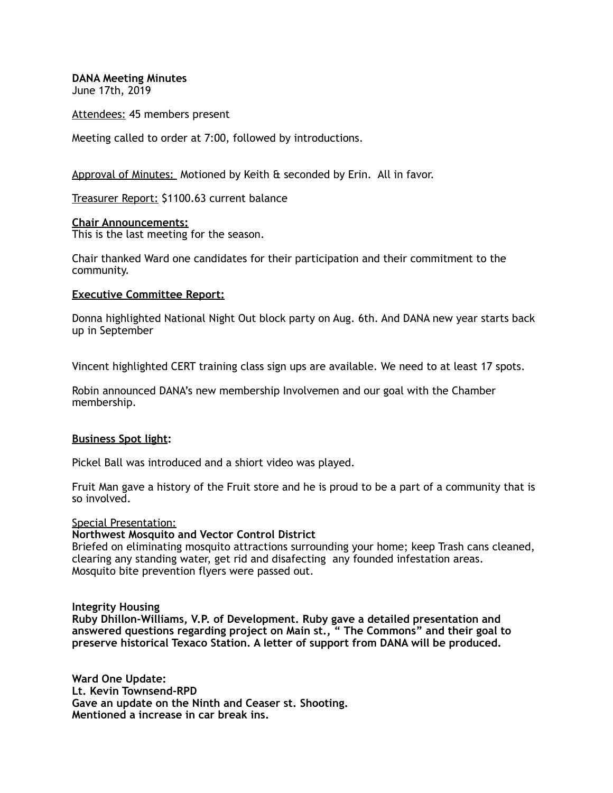**DANA Meeting Minutes** 

June 17th, 2019

Attendees: 45 members present

Meeting called to order at 7:00, followed by introductions.

Approval of Minutes: Motioned by Keith & seconded by Erin. All in favor.

Treasurer Report: \$1100.63 current balance

## **Chair Announcements:**

This is the last meeting for the season.

Chair thanked Ward one candidates for their participation and their commitment to the community.

# **Executive Committee Report:**

Donna highlighted National Night Out block party on Aug. 6th. And DANA new year starts back up in September

Vincent highlighted CERT training class sign ups are available. We need to at least 17 spots.

Robin announced DANA's new membership Involvemen and our goal with the Chamber membership.

## **Business Spot light:**

Pickel Ball was introduced and a shiort video was played.

Fruit Man gave a history of the Fruit store and he is proud to be a part of a community that is so involved.

Special Presentation:

## **Northwest Mosquito and Vector Control District**

Briefed on eliminating mosquito attractions surrounding your home; keep Trash cans cleaned, clearing any standing water, get rid and disafecting any founded infestation areas. Mosquito bite prevention flyers were passed out.

## **Integrity Housing**

**Ruby Dhillon-Williams, V.P. of Development. Ruby gave a detailed presentation and answered questions regarding project on Main st., " The Commons" and their goal to preserve historical Texaco Station. A letter of support from DANA will be produced.** 

**Ward One Update: Lt. Kevin Townsend-RPD Gave an update on the Ninth and Ceaser st. Shooting. Mentioned a increase in car break ins.**